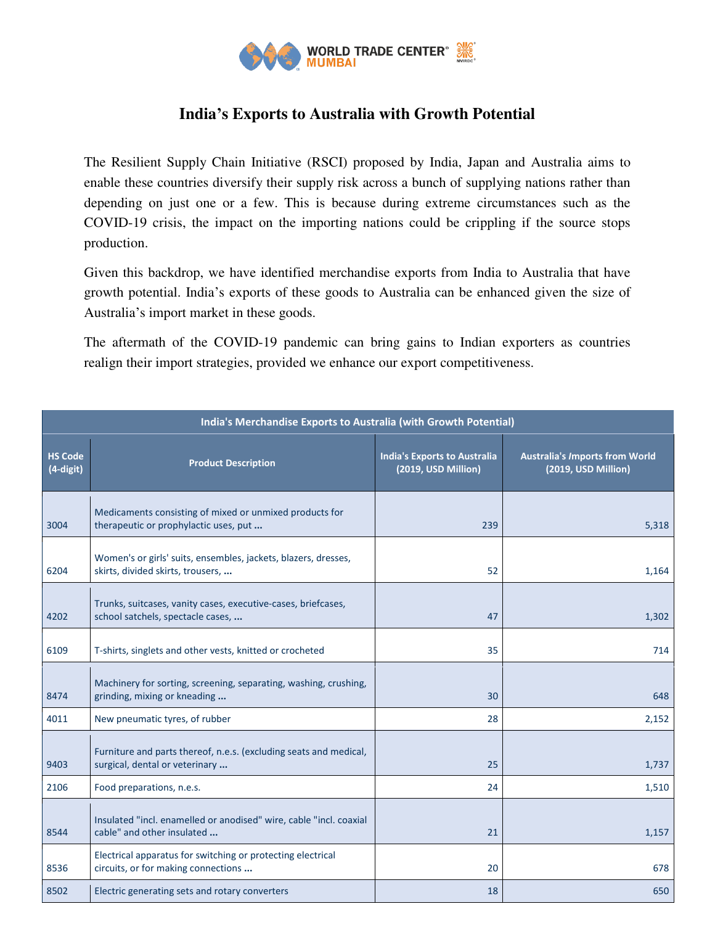

## **India's Exports to Australia with Growth Potential**

The Resilient Supply Chain Initiative (RSCI) proposed by India, Japan and Australia aims to enable these countries diversify their supply risk across a bunch of supplying nations rather than depending on just one or a few. This is because during extreme circumstances such as the COVID-19 crisis, the impact on the importing nations could be crippling if the source stops production.

Given this backdrop, we have identified merchandise exports from India to Australia that have growth potential. India's exports of these goods to Australia can be enhanced given the size of Australia's import market in these goods.

The aftermath of the COVID-19 pandemic can bring gains to Indian exporters as countries realign their import strategies, provided we enhance our export competitiveness.

| India's Merchandise Exports to Australia (with Growth Potential) |                                                                                                     |                                                            |                                                              |  |
|------------------------------------------------------------------|-----------------------------------------------------------------------------------------------------|------------------------------------------------------------|--------------------------------------------------------------|--|
| <b>HS Code</b><br>(4-digit)                                      | <b>Product Description</b>                                                                          | <b>India's Exports to Australia</b><br>(2019, USD Million) | <b>Australia's /mports from World</b><br>(2019, USD Million) |  |
| 3004                                                             | Medicaments consisting of mixed or unmixed products for<br>therapeutic or prophylactic uses, put    | 239                                                        | 5,318                                                        |  |
| 6204                                                             | Women's or girls' suits, ensembles, jackets, blazers, dresses,<br>skirts, divided skirts, trousers, | 52                                                         | 1,164                                                        |  |
| 4202                                                             | Trunks, suitcases, vanity cases, executive-cases, briefcases,<br>school satchels, spectacle cases,  | 47                                                         | 1,302                                                        |  |
| 6109                                                             | T-shirts, singlets and other vests, knitted or crocheted                                            | 35                                                         | 714                                                          |  |
| 8474                                                             | Machinery for sorting, screening, separating, washing, crushing,<br>grinding, mixing or kneading    | 30                                                         | 648                                                          |  |
| 4011                                                             | New pneumatic tyres, of rubber                                                                      | 28                                                         | 2,152                                                        |  |
| 9403                                                             | Furniture and parts thereof, n.e.s. (excluding seats and medical,<br>surgical, dental or veterinary | 25                                                         | 1,737                                                        |  |
| 2106                                                             | Food preparations, n.e.s.                                                                           | 24                                                         | 1,510                                                        |  |
| 8544                                                             | Insulated "incl. enamelled or anodised" wire, cable "incl. coaxial<br>cable" and other insulated    | 21                                                         | 1,157                                                        |  |
| 8536                                                             | Electrical apparatus for switching or protecting electrical<br>circuits, or for making connections  | 20                                                         | 678                                                          |  |
| 8502                                                             | Electric generating sets and rotary converters                                                      | 18                                                         | 650                                                          |  |